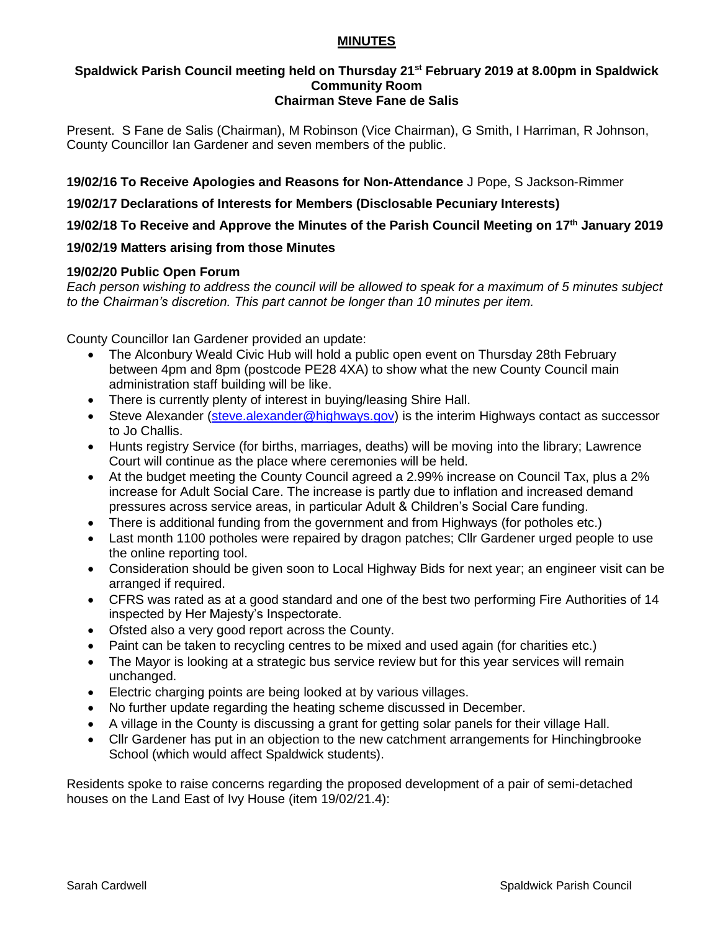## **MINUTES**

#### **Spaldwick Parish Council meeting held on Thursday 21st February 2019 at 8.00pm in Spaldwick Community Room Chairman Steve Fane de Salis**

Present. S Fane de Salis (Chairman), M Robinson (Vice Chairman), G Smith, I Harriman, R Johnson, County Councillor Ian Gardener and seven members of the public.

**19/02/16 To Receive Apologies and Reasons for Non-Attendance** J Pope, S Jackson-Rimmer

**19/02/17 Declarations of Interests for Members (Disclosable Pecuniary Interests)**

**19/02/18 To Receive and Approve the Minutes of the Parish Council Meeting on 17th January 2019**

## **19/02/19 Matters arising from those Minutes**

## **19/02/20 Public Open Forum**

*Each person wishing to address the council will be allowed to speak for a maximum of 5 minutes subject to the Chairman's discretion. This part cannot be longer than 10 minutes per item.* 

County Councillor Ian Gardener provided an update:

- The Alconbury Weald Civic Hub will hold a public open event on Thursday 28th February between 4pm and 8pm (postcode PE28 4XA) to show what the new County Council main administration staff building will be like.
- There is currently plenty of interest in buying/leasing Shire Hall.
- Steve Alexander [\(steve.alexander@highways.gov\)](mailto:steve.alexander@highways.gov) is the interim Highways contact as successor to Jo Challis.
- Hunts registry Service (for births, marriages, deaths) will be moving into the library; Lawrence Court will continue as the place where ceremonies will be held.
- At the budget meeting the County Council agreed a 2.99% increase on Council Tax, plus a 2% increase for Adult Social Care. The increase is partly due to inflation and increased demand pressures across service areas, in particular Adult & Children's Social Care funding.
- There is additional funding from the government and from Highways (for potholes etc.)
- Last month 1100 potholes were repaired by dragon patches; Cllr Gardener urged people to use the online reporting tool.
- Consideration should be given soon to Local Highway Bids for next year; an engineer visit can be arranged if required.
- CFRS was rated as at a good standard and one of the best two performing Fire Authorities of 14 inspected by Her Majesty's Inspectorate.
- Ofsted also a very good report across the County.
- Paint can be taken to recycling centres to be mixed and used again (for charities etc.)
- The Mayor is looking at a strategic bus service review but for this year services will remain unchanged.
- Electric charging points are being looked at by various villages.
- No further update regarding the heating scheme discussed in December.
- A village in the County is discussing a grant for getting solar panels for their village Hall.
- Cllr Gardener has put in an objection to the new catchment arrangements for Hinchingbrooke School (which would affect Spaldwick students).

Residents spoke to raise concerns regarding the proposed development of a pair of semi-detached houses on the Land East of Ivy House (item 19/02/21.4):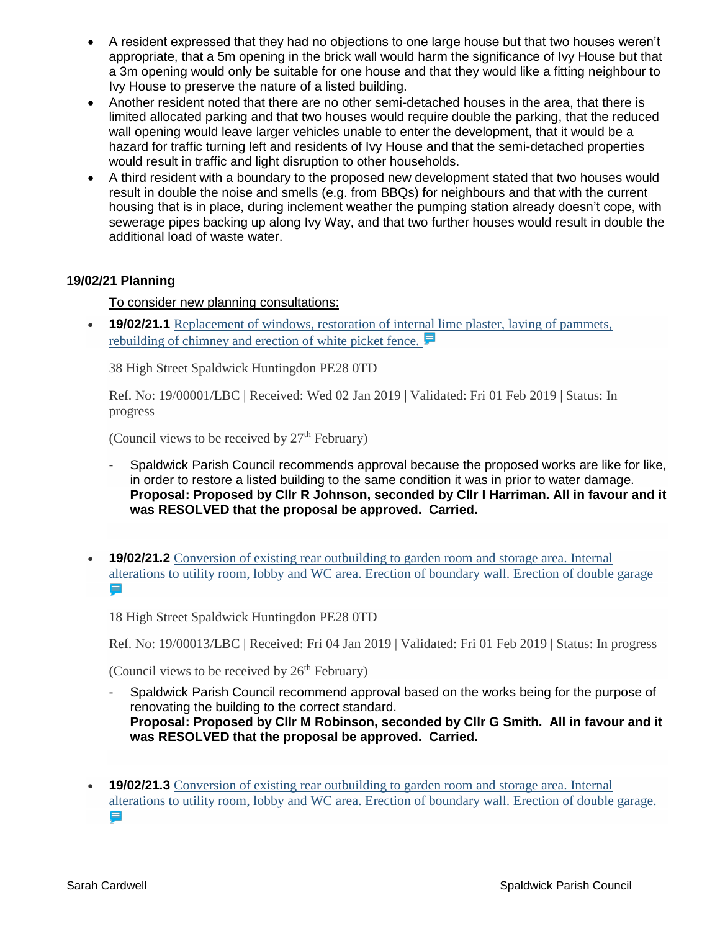- A resident expressed that they had no objections to one large house but that two houses weren't appropriate, that a 5m opening in the brick wall would harm the significance of Ivy House but that a 3m opening would only be suitable for one house and that they would like a fitting neighbour to Ivy House to preserve the nature of a listed building.
- Another resident noted that there are no other semi-detached houses in the area, that there is limited allocated parking and that two houses would require double the parking, that the reduced wall opening would leave larger vehicles unable to enter the development, that it would be a hazard for traffic turning left and residents of Ivy House and that the semi-detached properties would result in traffic and light disruption to other households.
- A third resident with a boundary to the proposed new development stated that two houses would result in double the noise and smells (e.g. from BBQs) for neighbours and that with the current housing that is in place, during inclement weather the pumping station already doesn't cope, with sewerage pipes backing up along Ivy Way, and that two further houses would result in double the additional load of waste water.

## **19/02/21 Planning**

## To consider new planning consultations:

• **19/02/21.1** Replacement of windows, restoration of internal lime plaster, laying of pammets, [rebuilding of chimney and erection of white picket fence.](https://publicaccess.huntingdonshire.gov.uk/online-applications/applicationDetails.do?keyVal=PKP2A4IKIUH00&activeTab=summary) 

38 High Street Spaldwick Huntingdon PE28 0TD

Ref. No: 19/00001/LBC | Received: Wed 02 Jan 2019 | Validated: Fri 01 Feb 2019 | Status: In progress

(Council views to be received by  $27<sup>th</sup>$  February)

- Spaldwick Parish Council recommends approval because the proposed works are like for like, in order to restore a listed building to the same condition it was in prior to water damage. **Proposal: Proposed by Cllr R Johnson, seconded by Cllr I Harriman. All in favour and it was RESOLVED that the proposal be approved. Carried.**
- **19/02/21.2** [Conversion of existing rear outbuilding to garden room and storage area. Internal](https://publicaccess.huntingdonshire.gov.uk/online-applications/applicationDetails.do?keyVal=PKSZY5IKIVP00&activeTab=summary)  [alterations to utility room, lobby and WC area. Erection of boundary wall. Erection of double garage](https://publicaccess.huntingdonshire.gov.uk/online-applications/applicationDetails.do?keyVal=PKSZY5IKIVP00&activeTab=summary)  目

18 High Street Spaldwick Huntingdon PE28 0TD

Ref. No: 19/00013/LBC | Received: Fri 04 Jan 2019 | Validated: Fri 01 Feb 2019 | Status: In progress

(Council views to be received by  $26<sup>th</sup>$  February)

- Spaldwick Parish Council recommend approval based on the works being for the purpose of renovating the building to the correct standard. **Proposal: Proposed by Cllr M Robinson, seconded by Cllr G Smith. All in favour and it was RESOLVED that the proposal be approved. Carried.**
- **19/02/21.3** Conversion of existing rear outbuilding to garden room and storage area. Internal [alterations to utility room, lobby and WC area. Erection of boundary wall. Erection of double garage.](https://publicaccess.huntingdonshire.gov.uk/online-applications/applicationDetails.do?keyVal=PKSZY2IKIVO00&activeTab=summary) ⊟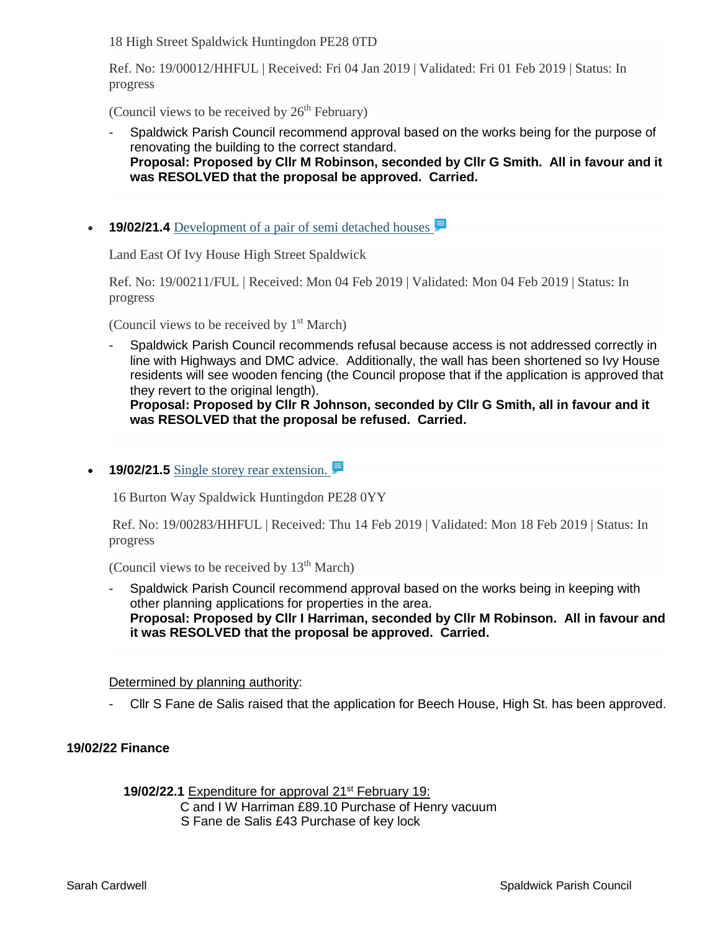18 High Street Spaldwick Huntingdon PE28 0TD

Ref. No: 19/00012/HHFUL | Received: Fri 04 Jan 2019 | Validated: Fri 01 Feb 2019 | Status: In progress

(Council views to be received by  $26<sup>th</sup>$  February)

- Spaldwick Parish Council recommend approval based on the works being for the purpose of renovating the building to the correct standard. **Proposal: Proposed by Cllr M Robinson, seconded by Cllr G Smith. All in favour and it was RESOLVED that the proposal be approved. Carried.**
- **19/02/21.4** Development of a pair of semi detached houses

Land East Of Ivy House High Street Spaldwick

Ref. No: 19/00211/FUL | Received: Mon 04 Feb 2019 | Validated: Mon 04 Feb 2019 | Status: In progress

(Council views to be received by  $1<sup>st</sup> March$ )

- Spaldwick Parish Council recommends refusal because access is not addressed correctly in line with Highways and DMC advice. Additionally, the wall has been shortened so Ivy House residents will see wooden fencing (the Council propose that if the application is approved that they revert to the original length).

**Proposal: Proposed by Cllr R Johnson, seconded by Cllr G Smith, all in favour and it was RESOLVED that the proposal be refused. Carried.**

• **19/02/21.5** Single storey rear extension.

16 Burton Way Spaldwick Huntingdon PE28 0YY

Ref. No: 19/00283/HHFUL | Received: Thu 14 Feb 2019 | Validated: Mon 18 Feb 2019 | Status: In progress

(Council views to be received by  $13<sup>th</sup>$  March)

Spaldwick Parish Council recommend approval based on the works being in keeping with other planning applications for properties in the area. **Proposal: Proposed by Cllr I Harriman, seconded by Cllr M Robinson. All in favour and it was RESOLVED that the proposal be approved. Carried.**

#### Determined by planning authority:

- Cllr S Fane de Salis raised that the application for Beech House, High St. has been approved.

## **19/02/22 Finance**

**19/02/22.1** Expenditure for approval 21<sup>st</sup> February 19: C and I W Harriman £89.10 Purchase of Henry vacuum S Fane de Salis £43 Purchase of key lock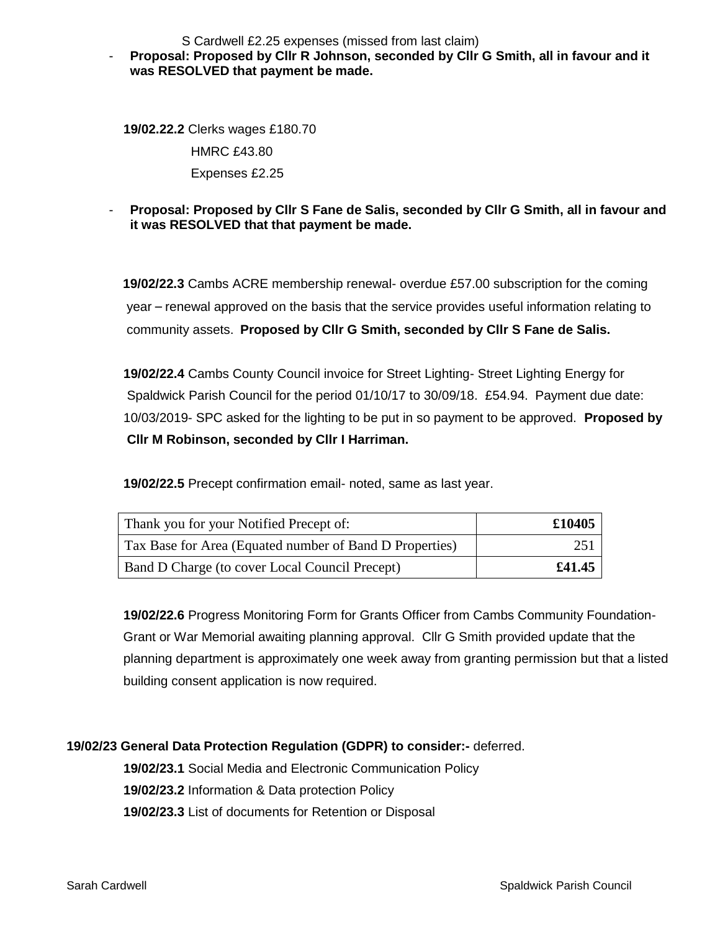S Cardwell £2.25 expenses (missed from last claim)

## - **Proposal: Proposed by Cllr R Johnson, seconded by Cllr G Smith, all in favour and it was RESOLVED that payment be made.**

 **19/02.22.2** Clerks wages £180.70 HMRC £43.80 Expenses £2.25

## - **Proposal: Proposed by Cllr S Fane de Salis, seconded by Cllr G Smith, all in favour and it was RESOLVED that that payment be made.**

**19/02/22.3** Cambs ACRE membership renewal- overdue £57.00 subscription for the coming year – renewal approved on the basis that the service provides useful information relating to community assets. **Proposed by Cllr G Smith, seconded by Cllr S Fane de Salis.**

 **19/02/22.4** Cambs County Council invoice for Street Lighting- Street Lighting Energy for Spaldwick Parish Council for the period 01/10/17 to 30/09/18. £54.94. Payment due date: 10/03/2019- SPC asked for the lighting to be put in so payment to be approved. **Proposed by Cllr M Robinson, seconded by Cllr I Harriman.**

 **19/02/22.5** Precept confirmation email- noted, same as last year.

| Thank you for your Notified Precept of:                 | £10405 |
|---------------------------------------------------------|--------|
| Tax Base for Area (Equated number of Band D Properties) | 251    |
| Band D Charge (to cover Local Council Precept)          | £41.45 |

 **19/02/22.6** Progress Monitoring Form for Grants Officer from Cambs Community Foundation- Grant or War Memorial awaiting planning approval. Cllr G Smith provided update that the planning department is approximately one week away from granting permission but that a listed building consent application is now required.

# **19/02/23 General Data Protection Regulation (GDPR) to consider:-** deferred.

 **19/02/23.1** Social Media and Electronic Communication Policy  **19/02/23.2** Information & Data protection Policy  **19/02/23.3** List of documents for Retention or Disposal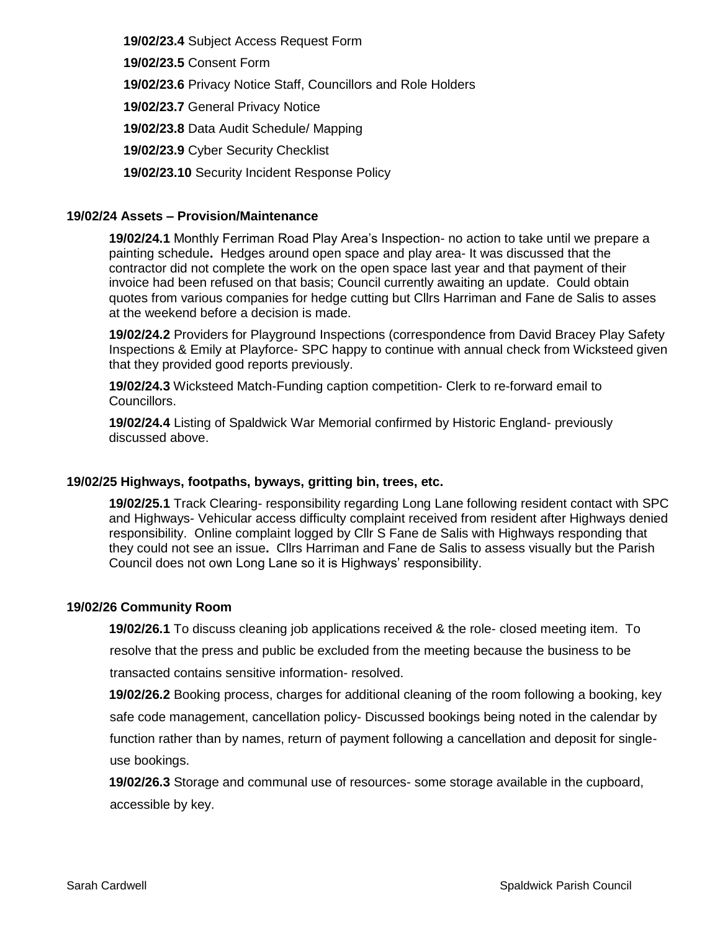**19/02/23.4** Subject Access Request Form

 **19/02/23.5** Consent Form

 **19/02/23.6** Privacy Notice Staff, Councillors and Role Holders

 **19/02/23.7** General Privacy Notice

 **19/02/23.8** Data Audit Schedule/ Mapping

 **19/02/23.9** Cyber Security Checklist

 **19/02/23.10** Security Incident Response Policy

## **19/02/24 Assets – Provision/Maintenance**

**19/02/24.1** Monthly Ferriman Road Play Area's Inspection- no action to take until we prepare a painting schedule**.** Hedges around open space and play area- It was discussed that the contractor did not complete the work on the open space last year and that payment of their invoice had been refused on that basis; Council currently awaiting an update. Could obtain quotes from various companies for hedge cutting but Cllrs Harriman and Fane de Salis to asses at the weekend before a decision is made.

**19/02/24.2** Providers for Playground Inspections (correspondence from David Bracey Play Safety Inspections & Emily at Playforce- SPC happy to continue with annual check from Wicksteed given that they provided good reports previously.

**19/02/24.3** Wicksteed Match-Funding caption competition- Clerk to re-forward email to Councillors.

**19/02/24.4** Listing of Spaldwick War Memorial confirmed by Historic England- previously discussed above.

## **19/02/25 Highways, footpaths, byways, gritting bin, trees, etc.**

**19/02/25.1** Track Clearing- responsibility regarding Long Lane following resident contact with SPC and Highways- Vehicular access difficulty complaint received from resident after Highways denied responsibility. Online complaint logged by Cllr S Fane de Salis with Highways responding that they could not see an issue**.** Cllrs Harriman and Fane de Salis to assess visually but the Parish Council does not own Long Lane so it is Highways' responsibility.

## **19/02/26 Community Room**

**19/02/26.1** To discuss cleaning job applications received & the role- closed meeting item. To resolve that the press and public be excluded from the meeting because the business to be transacted contains sensitive information- resolved.

**19/02/26.2** Booking process, charges for additional cleaning of the room following a booking, key safe code management, cancellation policy- Discussed bookings being noted in the calendar by function rather than by names, return of payment following a cancellation and deposit for single use bookings.

**19/02/26.3** Storage and communal use of resources- some storage available in the cupboard, accessible by key.